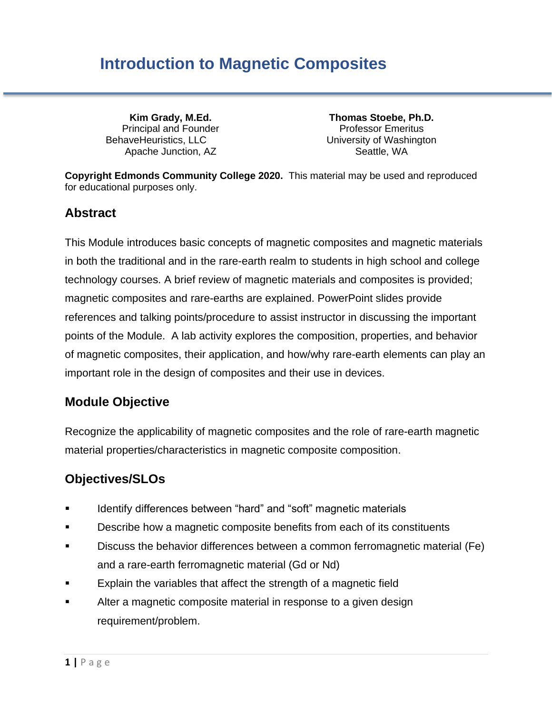**Kim Grady, M.Ed.** Principal and Founder BehaveHeuristics, LLC Apache Junction, AZ

**Thomas Stoebe, Ph.D.** Professor Emeritus University of Washington Seattle, WA

**Copyright Edmonds Community College 2020.** This material may be used and reproduced for educational purposes only.

### **Abstract**

This Module introduces basic concepts of magnetic composites and magnetic materials in both the traditional and in the rare-earth realm to students in high school and college technology courses. A brief review of magnetic materials and composites is provided; magnetic composites and rare-earths are explained. PowerPoint slides provide references and talking points/procedure to assist instructor in discussing the important points of the Module. A lab activity explores the composition, properties, and behavior of magnetic composites, their application, and how/why rare-earth elements can play an important role in the design of composites and their use in devices.

### **Module Objective**

Recognize the applicability of magnetic composites and the role of rare-earth magnetic material properties/characteristics in magnetic composite composition.

### **Objectives/SLOs**

- Identify differences between "hard" and "soft" magnetic materials
- Describe how a magnetic composite benefits from each of its constituents
- Discuss the behavior differences between a common ferromagnetic material (Fe) and a rare-earth ferromagnetic material (Gd or Nd)
- Explain the variables that affect the strength of a magnetic field
- Alter a magnetic composite material in response to a given design requirement/problem.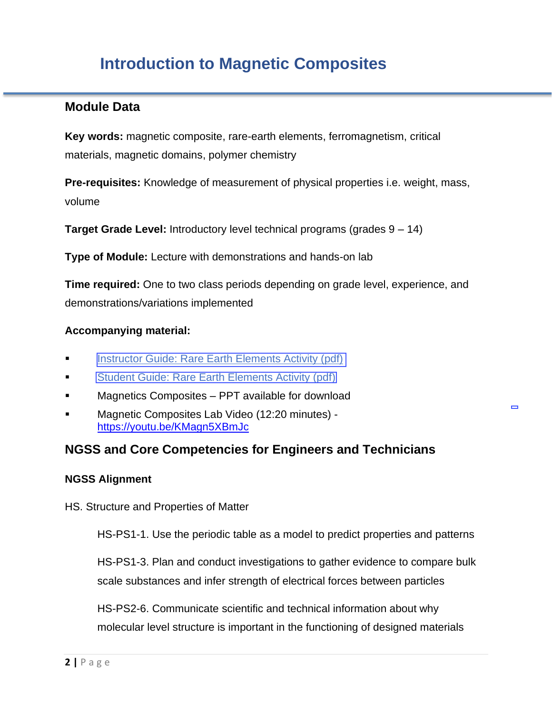### **Module Data**

**Key words:** magnetic composite, rare-earth elements, ferromagnetism, critical materials, magnetic domains, polymer chemistry

**Pre-requisites:** Knowledge of measurement of physical properties i.e. weight, mass, volume

**Target Grade Level:** Introductory level technical programs (grades 9 – 14)

**Type of Module:** Lecture with demonstrations and hands-on lab

**Time required:** One to two class periods depending on grade level, experience, and demonstrations/variations implemented

#### **Accompanying material:**

- [Instructor Guide: Rare Earth Elements Activity \(pdf\)]("
https://materialseducation.org/educators/matedu-modules/docs/Rare_Earth_Elements-Instructors-Guide.pdf")
- [Student Guide: Rare Earth Elements Activity \(pdf\)]("
https://materialseducation.org/educators/matedu-modules/docs/Rare_Earth_Elements-Instructors-Guide.pdf")
- Magnetics Composites  $-$  PPT available for download
- Magnetic Composites Lab Video (12:20 minutes) <https://youtu.be/KMagn5XBmJc>

### **NGSS and Core Competencies for Engineers and Technicians**

#### **NGSS Alignment**

HS. Structure and Properties of Matter

HS-PS1-1. Use the periodic table as a model to predict properties and patterns

HS-PS1-3. Plan and conduct investigations to gather evidence to compare bulk scale substances and infer strength of electrical forces between particles

HS-PS2-6. Communicate scientific and technical information about why molecular level structure is important in the functioning of designed materials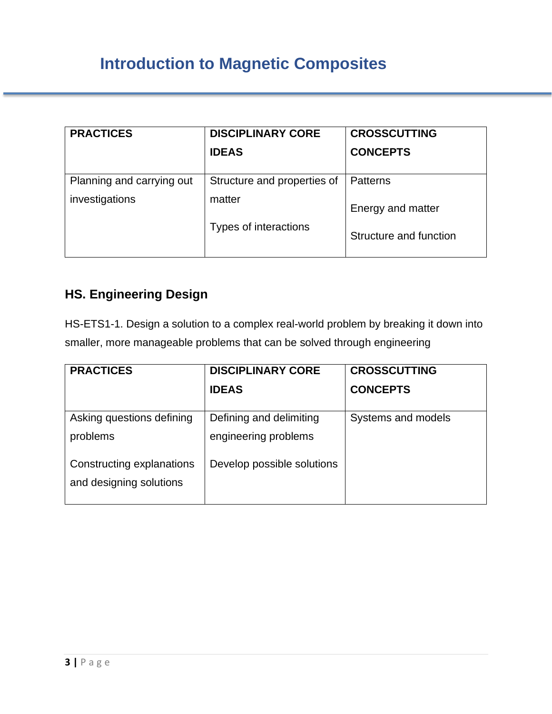| <b>PRACTICES</b>                            | <b>DISCIPLINARY CORE</b>                                       | <b>CROSSCUTTING</b>                                            |
|---------------------------------------------|----------------------------------------------------------------|----------------------------------------------------------------|
|                                             | <b>IDEAS</b>                                                   | <b>CONCEPTS</b>                                                |
| Planning and carrying out<br>investigations | Structure and properties of<br>matter<br>Types of interactions | <b>Patterns</b><br>Energy and matter<br>Structure and function |

### **HS. Engineering Design**

HS-ETS1-1. Design a solution to a complex real-world problem by breaking it down into smaller, more manageable problems that can be solved through engineering

| <b>PRACTICES</b>                                     | <b>DISCIPLINARY CORE</b>                        | <b>CROSSCUTTING</b> |
|------------------------------------------------------|-------------------------------------------------|---------------------|
|                                                      | <b>IDEAS</b>                                    | <b>CONCEPTS</b>     |
| Asking questions defining<br>problems                | Defining and delimiting<br>engineering problems | Systems and models  |
| Constructing explanations<br>and designing solutions | Develop possible solutions                      |                     |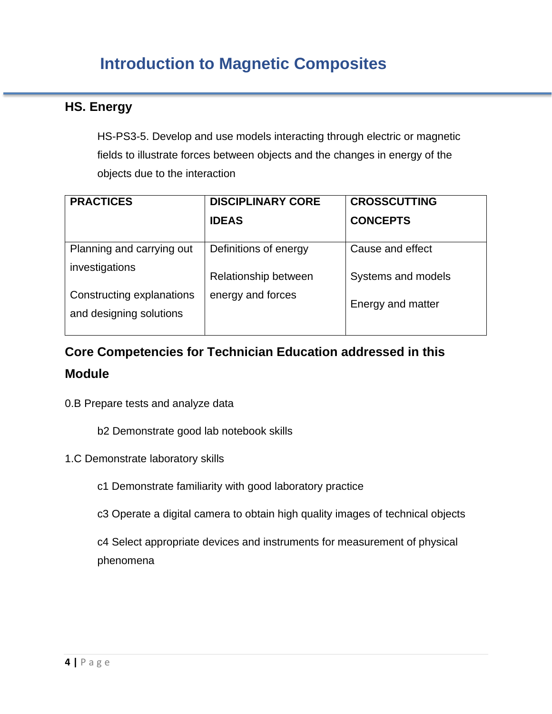### **HS. Energy**

HS-PS3-5. Develop and use models interacting through electric or magnetic fields to illustrate forces between objects and the changes in energy of the objects due to the interaction

| <b>PRACTICES</b>                                     | <b>DISCIPLINARY CORE</b> | <b>CROSSCUTTING</b> |
|------------------------------------------------------|--------------------------|---------------------|
|                                                      | <b>IDEAS</b>             | <b>CONCEPTS</b>     |
| Planning and carrying out                            | Definitions of energy    | Cause and effect    |
| investigations                                       | Relationship between     | Systems and models  |
| Constructing explanations<br>and designing solutions | energy and forces        | Energy and matter   |

### **Core Competencies for Technician Education addressed in this Module**

- 0.B Prepare tests and analyze data
	- b2 Demonstrate good lab notebook skills
- 1.C Demonstrate laboratory skills
	- c1 Demonstrate familiarity with good laboratory practice
	- c3 Operate a digital camera to obtain high quality images of technical objects

c4 Select appropriate devices and instruments for measurement of physical phenomena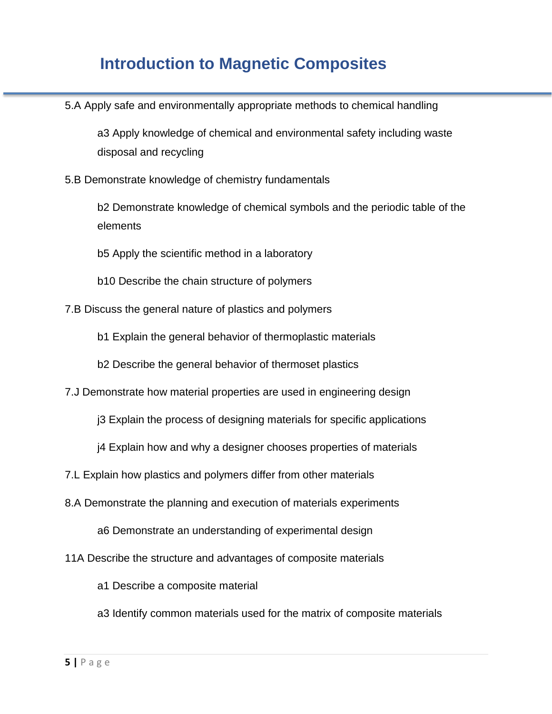5.A Apply safe and environmentally appropriate methods to chemical handling

a3 Apply knowledge of chemical and environmental safety including waste disposal and recycling

5.B Demonstrate knowledge of chemistry fundamentals

b2 Demonstrate knowledge of chemical symbols and the periodic table of the elements

b5 Apply the scientific method in a laboratory

b10 Describe the chain structure of polymers

7.B Discuss the general nature of plastics and polymers

b1 Explain the general behavior of thermoplastic materials

b2 Describe the general behavior of thermoset plastics

7.J Demonstrate how material properties are used in engineering design

j3 Explain the process of designing materials for specific applications

j4 Explain how and why a designer chooses properties of materials

7.L Explain how plastics and polymers differ from other materials

8.A Demonstrate the planning and execution of materials experiments

a6 Demonstrate an understanding of experimental design

11A Describe the structure and advantages of composite materials

a1 Describe a composite material

a3 Identify common materials used for the matrix of composite materials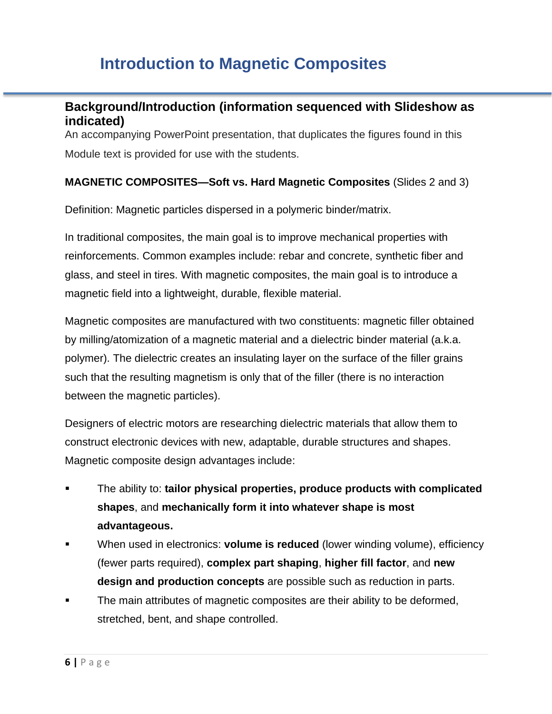### **Background/Introduction (information sequenced with Slideshow as indicated)**

An accompanying PowerPoint presentation, that duplicates the figures found in this Module text is provided for use with the students.

#### **MAGNETIC COMPOSITES—Soft vs. Hard Magnetic Composites** (Slides 2 and 3)

Definition: Magnetic particles dispersed in a polymeric binder/matrix.

In traditional composites, the main goal is to improve mechanical properties with reinforcements. Common examples include: rebar and concrete, synthetic fiber and glass, and steel in tires. With magnetic composites, the main goal is to introduce a magnetic field into a lightweight, durable, flexible material.

Magnetic composites are manufactured with two constituents: magnetic filler obtained by milling/atomization of a magnetic material and a dielectric binder material (a.k.a. polymer). The dielectric creates an insulating layer on the surface of the filler grains such that the resulting magnetism is only that of the filler (there is no interaction between the magnetic particles).

Designers of electric motors are researching dielectric materials that allow them to construct electronic devices with new, adaptable, durable structures and shapes. Magnetic composite design advantages include:

- The ability to: **tailor physical properties, produce products with complicated shapes**, and **mechanically form it into whatever shape is most advantageous.**
- When used in electronics: **volume is reduced** (lower winding volume), efficiency (fewer parts required), **complex part shaping**, **higher fill factor**, and **new design and production concepts** are possible such as reduction in parts.
- The main attributes of magnetic composites are their ability to be deformed, stretched, bent, and shape controlled.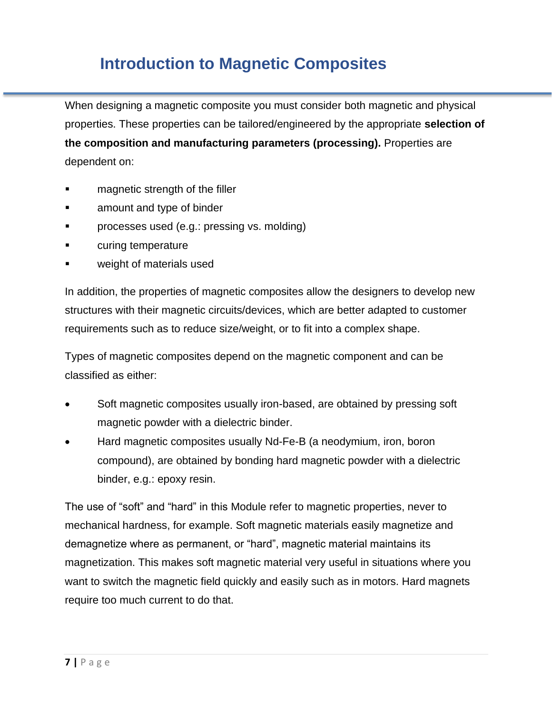When designing a magnetic composite you must consider both magnetic and physical properties. These properties can be tailored/engineered by the appropriate **selection of the composition and manufacturing parameters (processing).** Properties are dependent on:

- magnetic strength of the filler
- amount and type of binder
- processes used (e.g.: pressing vs. molding)
- curing temperature
- weight of materials used

In addition, the properties of magnetic composites allow the designers to develop new structures with their magnetic circuits/devices, which are better adapted to customer requirements such as to reduce size/weight, or to fit into a complex shape.

Types of magnetic composites depend on the magnetic component and can be classified as either:

- Soft magnetic composites usually iron-based, are obtained by pressing soft magnetic powder with a dielectric binder.
- Hard magnetic composites usually Nd-Fe-B (a neodymium, iron, boron compound), are obtained by bonding hard magnetic powder with a dielectric binder, e.g.: epoxy resin.

The use of "soft" and "hard" in this Module refer to magnetic properties, never to mechanical hardness, for example. Soft magnetic materials easily magnetize and demagnetize where as permanent, or "hard", magnetic material maintains its magnetization. This makes soft magnetic material very useful in situations where you want to switch the magnetic field quickly and easily such as in motors. Hard magnets require too much current to do that.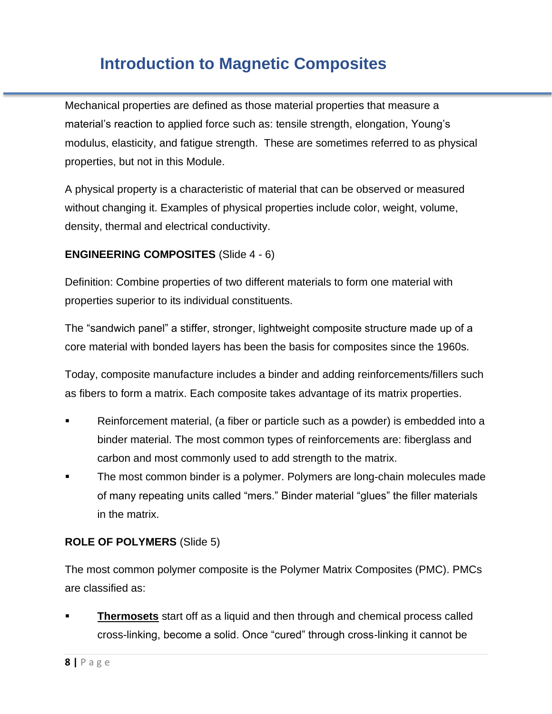Mechanical properties are defined as those material properties that measure a material's reaction to applied force such as: tensile strength, elongation, Young's modulus, elasticity, and fatigue strength. These are sometimes referred to as physical properties, but not in this Module.

A physical property is a characteristic of material that can be observed or measured without changing it. Examples of physical properties include color, weight, volume, density, thermal and electrical conductivity.

#### **ENGINEERING COMPOSITES** (Slide 4 - 6)

Definition: Combine properties of two different materials to form one material with properties superior to its individual constituents.

The "sandwich panel" a stiffer, stronger, lightweight composite structure made up of a core material with bonded layers has been the basis for composites since the 1960s.

Today, composite manufacture includes a binder and adding reinforcements/fillers such as fibers to form a matrix. Each composite takes advantage of its matrix properties.

- Reinforcement material, (a fiber or particle such as a powder) is embedded into a binder material. The most common types of reinforcements are: fiberglass and carbon and most commonly used to add strength to the matrix.
- The most common binder is a polymer. Polymers are long-chain molecules made of many repeating units called "mers." Binder material "glues" the filler materials in the matrix.

#### **ROLE OF POLYMERS** (Slide 5)

The most common polymer composite is the Polymer Matrix Composites (PMC). PMCs are classified as:

**Thermosets** start off as a liquid and then through and chemical process called cross-linking, become a solid. Once "cured" through cross-linking it cannot be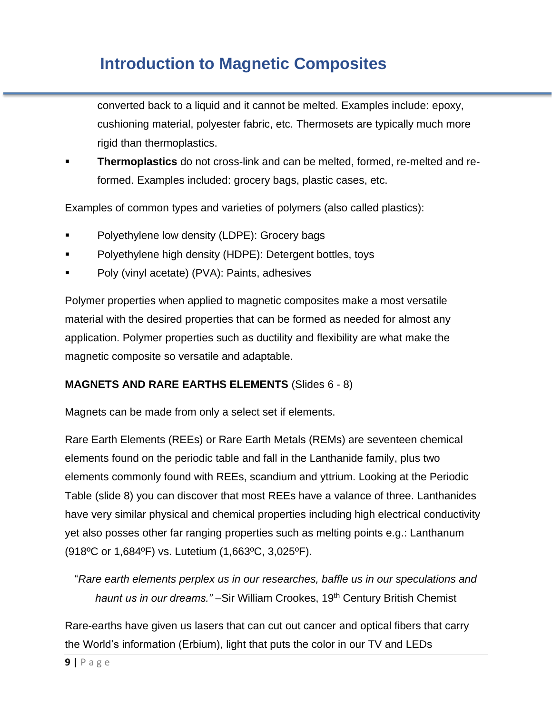converted back to a liquid and it cannot be melted. Examples include: epoxy, cushioning material, polyester fabric, etc. Thermosets are typically much more rigid than thermoplastics.

**Thermoplastics** do not cross-link and can be melted, formed, re-melted and reformed. Examples included: grocery bags, plastic cases, etc.

Examples of common types and varieties of polymers (also called plastics):

- Polyethylene low density (LDPE): Grocery bags
- Polyethylene high density (HDPE): Detergent bottles, toys
- Poly (vinyl acetate) (PVA): Paints, adhesives

Polymer properties when applied to magnetic composites make a most versatile material with the desired properties that can be formed as needed for almost any application. Polymer properties such as ductility and flexibility are what make the magnetic composite so versatile and adaptable.

### **MAGNETS AND RARE EARTHS ELEMENTS** (Slides 6 - 8)

Magnets can be made from only a select set if elements.

Rare Earth Elements (REEs) or Rare Earth Metals (REMs) are seventeen chemical elements found on the periodic table and fall in the Lanthanide family, plus two elements commonly found with REEs, scandium and yttrium. Looking at the Periodic Table (slide 8) you can discover that most REEs have a valance of three. Lanthanides have very similar physical and chemical properties including high electrical conductivity yet also posses other far ranging properties such as melting points e.g.: Lanthanum (918ºC or 1,684ºF) vs. Lutetium (1,663ºC, 3,025ºF).

"*Rare earth elements perplex us in our researches, baffle us in our speculations and haunt us in our dreams."* –Sir William Crookes, 19th Century British Chemist

Rare-earths have given us lasers that can cut out cancer and optical fibers that carry the World's information (Erbium), light that puts the color in our TV and LEDs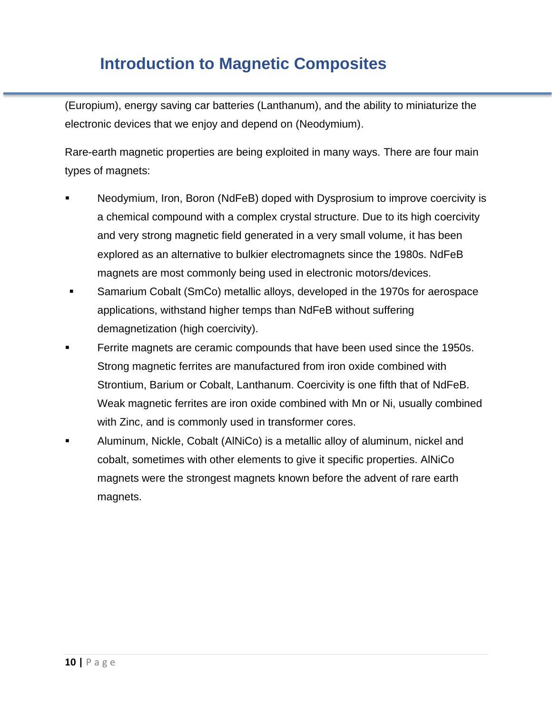(Europium), energy saving car batteries (Lanthanum), and the ability to miniaturize the electronic devices that we enjoy and depend on (Neodymium).

Rare-earth magnetic properties are being exploited in many ways. There are four main types of magnets:

- Neodymium, Iron, Boron (NdFeB) doped with Dysprosium to improve coercivity is a chemical compound with a complex crystal structure. Due to its high coercivity and very strong magnetic field generated in a very small volume, it has been explored as an alternative to bulkier electromagnets since the 1980s. NdFeB magnets are most commonly being used in electronic motors/devices.
- Samarium Cobalt (SmCo) metallic alloys, developed in the 1970s for aerospace applications, withstand higher temps than NdFeB without suffering demagnetization (high coercivity).
- Ferrite magnets are ceramic compounds that have been used since the 1950s. Strong magnetic ferrites are manufactured from iron oxide combined with Strontium, Barium or Cobalt, Lanthanum. Coercivity is one fifth that of NdFeB. Weak magnetic ferrites are iron oxide combined with Mn or Ni, usually combined with Zinc, and is commonly used in transformer cores.
- Aluminum, Nickle, Cobalt (AlNiCo) is a metallic alloy of aluminum, nickel and cobalt, sometimes with other elements to give it specific properties. AlNiCo magnets were the strongest magnets known before the advent of rare earth magnets.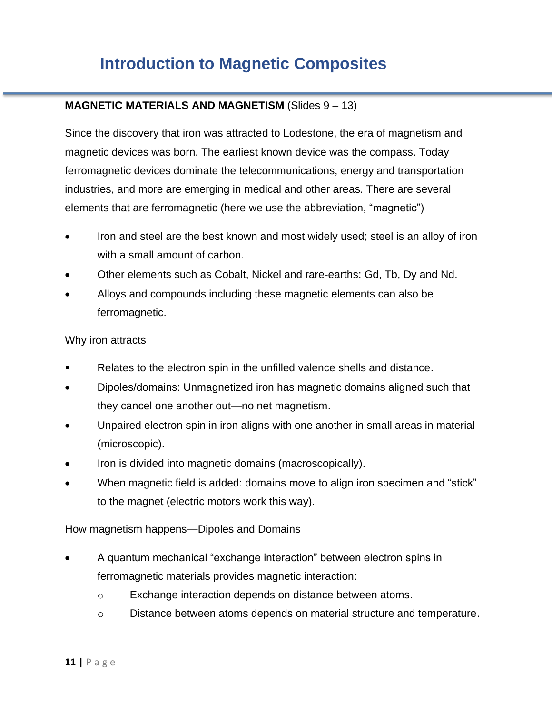#### **MAGNETIC MATERIALS AND MAGNETISM** (Slides 9 – 13)

Since the discovery that iron was attracted to Lodestone, the era of magnetism and magnetic devices was born. The earliest known device was the compass. Today ferromagnetic devices dominate the telecommunications, energy and transportation industries, and more are emerging in medical and other areas. There are several elements that are ferromagnetic (here we use the abbreviation, "magnetic")

- Iron and steel are the best known and most widely used; steel is an alloy of iron with a small amount of carbon.
- Other elements such as Cobalt, Nickel and rare-earths: Gd, Tb, Dy and Nd.
- Alloys and compounds including these magnetic elements can also be ferromagnetic.

#### Why iron attracts

- Relates to the electron spin in the unfilled valence shells and distance.
- Dipoles/domains: Unmagnetized iron has magnetic domains aligned such that they cancel one another out—no net magnetism.
- Unpaired electron spin in iron aligns with one another in small areas in material (microscopic).
- Iron is divided into magnetic domains (macroscopically).
- When magnetic field is added: domains move to align iron specimen and "stick" to the magnet (electric motors work this way).

How magnetism happens—Dipoles and Domains

- A quantum mechanical "exchange interaction" between electron spins in ferromagnetic materials provides magnetic interaction:
	- o Exchange interaction depends on distance between atoms.
	- o Distance between atoms depends on material structure and temperature.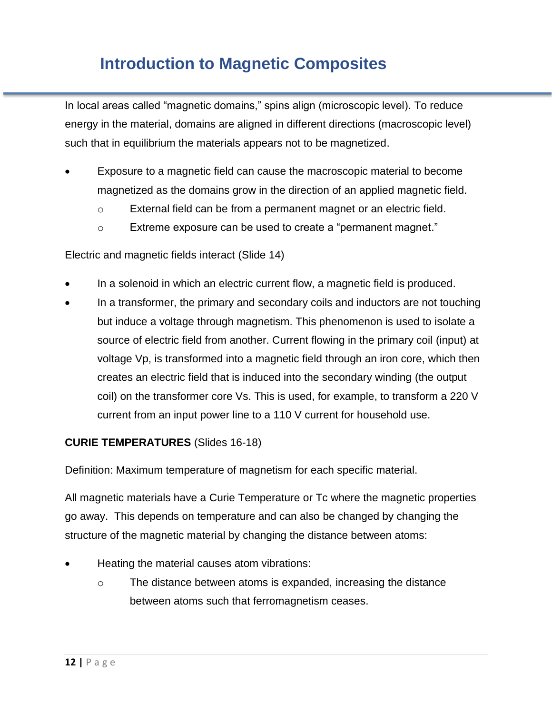In local areas called "magnetic domains," spins align (microscopic level). To reduce energy in the material, domains are aligned in different directions (macroscopic level) such that in equilibrium the materials appears not to be magnetized.

- Exposure to a magnetic field can cause the macroscopic material to become magnetized as the domains grow in the direction of an applied magnetic field.
	- $\circ$  External field can be from a permanent magnet or an electric field.
	- o Extreme exposure can be used to create a "permanent magnet."

Electric and magnetic fields interact (Slide 14)

- In a solenoid in which an electric current flow, a magnetic field is produced.
- In a transformer, the primary and secondary coils and inductors are not touching but induce a voltage through magnetism. This phenomenon is used to isolate a source of electric field from another. Current flowing in the primary coil (input) at voltage Vp, is transformed into a magnetic field through an iron core, which then creates an electric field that is induced into the secondary winding (the output coil) on the transformer core Vs. This is used, for example, to transform a 220 V current from an input power line to a 110 V current for household use.

### **CURIE TEMPERATURES** (Slides 16-18)

Definition: Maximum temperature of magnetism for each specific material.

All magnetic materials have a Curie Temperature or Tc where the magnetic properties go away. This depends on temperature and can also be changed by changing the structure of the magnetic material by changing the distance between atoms:

- Heating the material causes atom vibrations:
	- $\circ$  The distance between atoms is expanded, increasing the distance between atoms such that ferromagnetism ceases.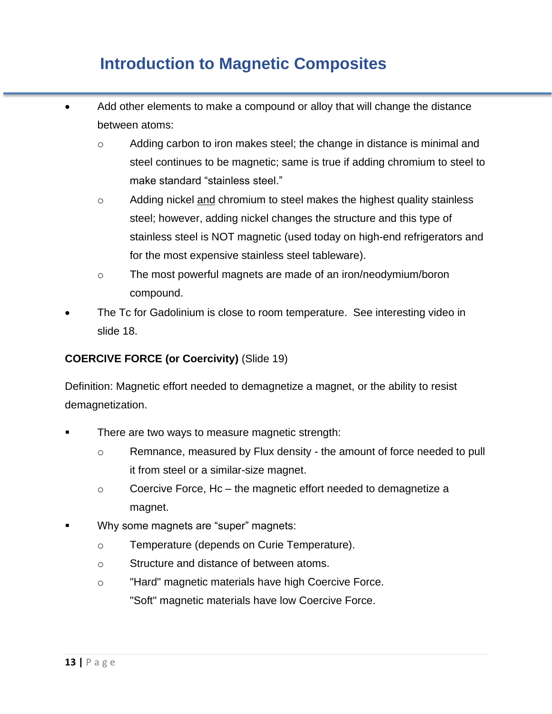- Add other elements to make a compound or alloy that will change the distance between atoms:
	- o Adding carbon to iron makes steel; the change in distance is minimal and steel continues to be magnetic; same is true if adding chromium to steel to make standard "stainless steel."
	- $\circ$  Adding nickel and chromium to steel makes the highest quality stainless steel; however, adding nickel changes the structure and this type of stainless steel is NOT magnetic (used today on high-end refrigerators and for the most expensive stainless steel tableware).
	- o The most powerful magnets are made of an iron/neodymium/boron compound.
- The Tc for Gadolinium is close to room temperature. See interesting video in slide 18.

### **COERCIVE FORCE (or Coercivity)** (Slide 19)

Definition: Magnetic effort needed to demagnetize a magnet, or the ability to resist demagnetization.

- There are two ways to measure magnetic strength:
	- $\circ$  Remnance, measured by Flux density the amount of force needed to pull it from steel or a similar-size magnet.
	- o Coercive Force, Hc the magnetic effort needed to demagnetize a magnet.
- Why some magnets are "super" magnets:
	- o Temperature (depends on Curie Temperature).
	- o Structure and distance of between atoms.
	- o "Hard" magnetic materials have high Coercive Force. "Soft" magnetic materials have low Coercive Force.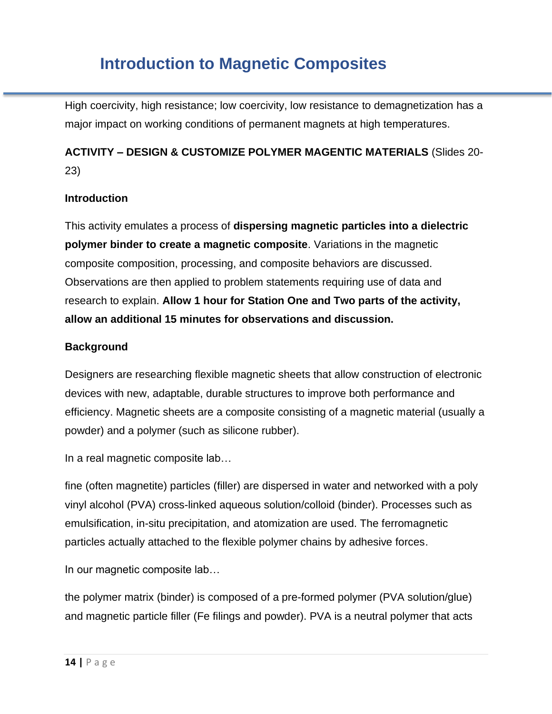High coercivity, high resistance; low coercivity, low resistance to demagnetization has a major impact on working conditions of permanent magnets at high temperatures.

### **ACTIVITY – DESIGN & CUSTOMIZE POLYMER MAGENTIC MATERIALS** (Slides 20- 23)

#### **Introduction**

This activity emulates a process of **dispersing magnetic particles into a dielectric polymer binder to create a magnetic composite**. Variations in the magnetic composite composition, processing, and composite behaviors are discussed. Observations are then applied to problem statements requiring use of data and research to explain. **Allow 1 hour for Station One and Two parts of the activity, allow an additional 15 minutes for observations and discussion.**

#### **Background**

Designers are researching flexible magnetic sheets that allow construction of electronic devices with new, adaptable, durable structures to improve both performance and efficiency. Magnetic sheets are a composite consisting of a magnetic material (usually a powder) and a polymer (such as silicone rubber).

In a real magnetic composite lab…

fine (often magnetite) particles (filler) are dispersed in water and networked with a poly vinyl alcohol (PVA) cross-linked aqueous solution/colloid (binder). Processes such as emulsification, in-situ precipitation, and atomization are used. The ferromagnetic particles actually attached to the flexible polymer chains by adhesive forces.

In our magnetic composite lab…

the polymer matrix (binder) is composed of a pre-formed polymer (PVA solution/glue) and magnetic particle filler (Fe filings and powder). PVA is a neutral polymer that acts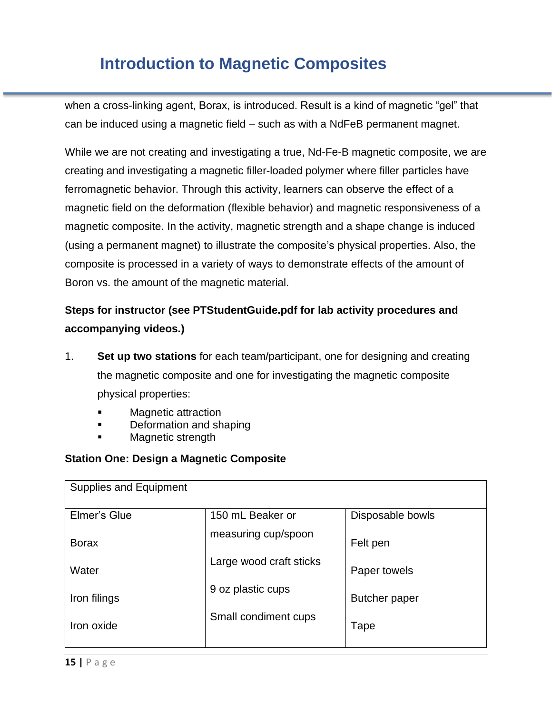when a cross-linking agent, Borax, is introduced. Result is a kind of magnetic "gel" that can be induced using a magnetic field – such as with a NdFeB permanent magnet.

While we are not creating and investigating a true, Nd-Fe-B magnetic composite, we are creating and investigating a magnetic filler-loaded polymer where filler particles have ferromagnetic behavior. Through this activity, learners can observe the effect of a magnetic field on the deformation (flexible behavior) and magnetic responsiveness of a magnetic composite. In the activity, magnetic strength and a shape change is induced (using a permanent magnet) to illustrate the composite's physical properties. Also, the composite is processed in a variety of ways to demonstrate effects of the amount of Boron vs. the amount of the magnetic material.

### **Steps for instructor (see PTStudentGuide.pdf for lab activity procedures and accompanying videos.)**

- 1. **Set up two stations** for each team/participant, one for designing and creating the magnetic composite and one for investigating the magnetic composite physical properties:
	- **Magnetic attraction**
	- Deformation and shaping
	- Magnetic strength

#### **Station One: Design a Magnetic Composite**

| <b>Supplies and Equipment</b> |                         |                      |
|-------------------------------|-------------------------|----------------------|
| Elmer's Glue                  | 150 mL Beaker or        | Disposable bowls     |
| <b>Borax</b>                  | measuring cup/spoon     | Felt pen             |
| Water                         | Large wood craft sticks | Paper towels         |
| Iron filings                  | 9 oz plastic cups       | <b>Butcher paper</b> |
| Iron oxide                    | Small condiment cups    | Tape                 |
|                               |                         |                      |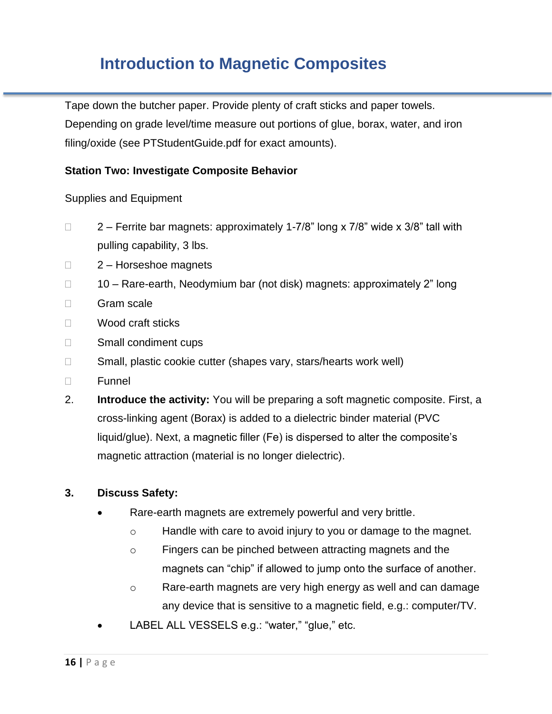Tape down the butcher paper. Provide plenty of craft sticks and paper towels. Depending on grade level/time measure out portions of glue, borax, water, and iron filing/oxide (see PTStudentGuide.pdf for exact amounts).

#### **Station Two: Investigate Composite Behavior**

Supplies and Equipment

- $\Box$  2 Ferrite bar magnets: approximately 1-7/8" long x 7/8" wide x 3/8" tall with pulling capability, 3 lbs.
- $\Box$  2 Horseshoe magnets
- $\Box$  10 Rare-earth, Neodymium bar (not disk) magnets: approximately 2" long
- □ Gram scale
- □ Wood craft sticks
- □ Small condiment cups
- $\Box$  Small, plastic cookie cutter (shapes vary, stars/hearts work well)
- Funnel
- 2. **Introduce the activity:** You will be preparing a soft magnetic composite. First, a cross-linking agent (Borax) is added to a dielectric binder material (PVC liquid/glue). Next, a magnetic filler (Fe) is dispersed to alter the composite's magnetic attraction (material is no longer dielectric).

#### **3. Discuss Safety:**

- Rare-earth magnets are extremely powerful and very brittle.
	- o Handle with care to avoid injury to you or damage to the magnet.
	- o Fingers can be pinched between attracting magnets and the magnets can "chip" if allowed to jump onto the surface of another.
	- $\circ$  Rare-earth magnets are very high energy as well and can damage any device that is sensitive to a magnetic field, e.g.: computer/TV.
- LABEL ALL VESSELS e.g.: "water," "glue," etc.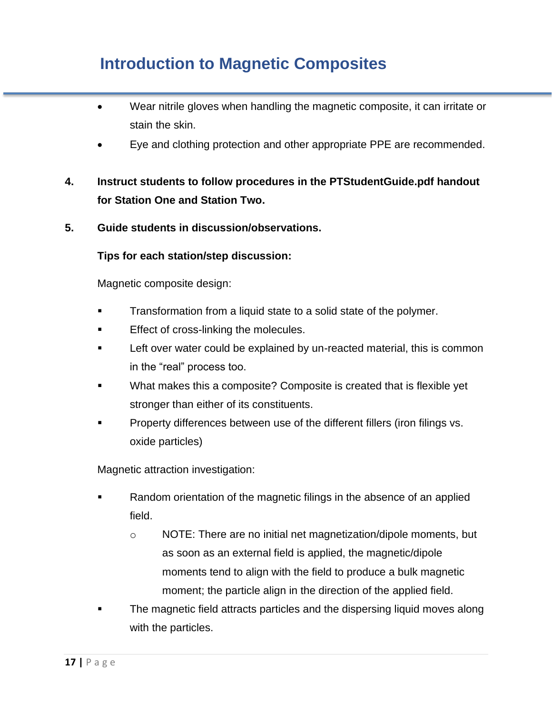- Wear nitrile gloves when handling the magnetic composite, it can irritate or stain the skin.
- Eye and clothing protection and other appropriate PPE are recommended.
- **4. Instruct students to follow procedures in the PTStudentGuide.pdf handout for Station One and Station Two.**
- **5. Guide students in discussion/observations.**

**Tips for each station/step discussion:**

Magnetic composite design:

- Transformation from a liquid state to a solid state of the polymer.
- Effect of cross-linking the molecules.
- **EXECT** Left over water could be explained by un-reacted material, this is common in the "real" process too.
- What makes this a composite? Composite is created that is flexible yet stronger than either of its constituents.
- Property differences between use of the different fillers (iron filings vs. oxide particles)

Magnetic attraction investigation:

- Random orientation of the magnetic filings in the absence of an applied field.
	- $\circ$  NOTE: There are no initial net magnetization/dipole moments, but as soon as an external field is applied, the magnetic/dipole moments tend to align with the field to produce a bulk magnetic moment; the particle align in the direction of the applied field.
- The magnetic field attracts particles and the dispersing liquid moves along with the particles.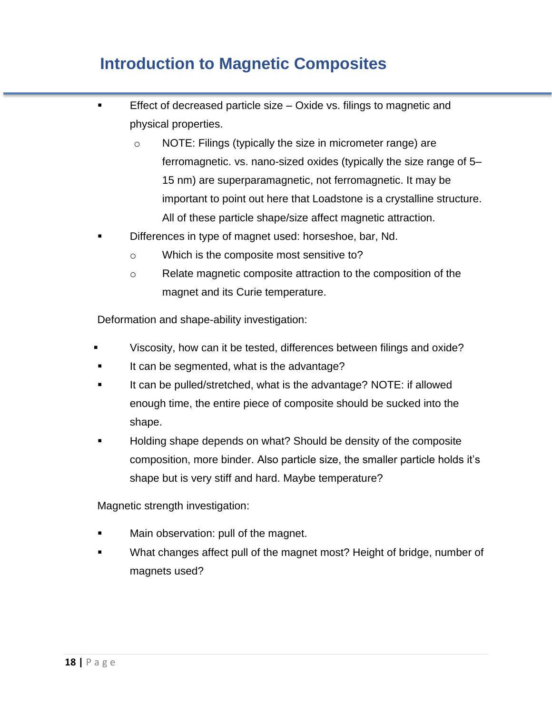- **Effect of decreased particle size Oxide vs. filings to magnetic and** physical properties.
	- o NOTE: Filings (typically the size in micrometer range) are ferromagnetic. vs. nano-sized oxides (typically the size range of 5– 15 nm) are superparamagnetic, not ferromagnetic. It may be important to point out here that Loadstone is a crystalline structure. All of these particle shape/size affect magnetic attraction.
- Differences in type of magnet used: horseshoe, bar, Nd.
	- o Which is the composite most sensitive to?
	- o Relate magnetic composite attraction to the composition of the magnet and its Curie temperature.

Deformation and shape-ability investigation:

- Viscosity, how can it be tested, differences between filings and oxide?
- It can be segmented, what is the advantage?
- It can be pulled/stretched, what is the advantage? NOTE: if allowed enough time, the entire piece of composite should be sucked into the shape.
- Holding shape depends on what? Should be density of the composite composition, more binder. Also particle size, the smaller particle holds it's shape but is very stiff and hard. Maybe temperature?

Magnetic strength investigation:

- Main observation: pull of the magnet.
- What changes affect pull of the magnet most? Height of bridge, number of magnets used?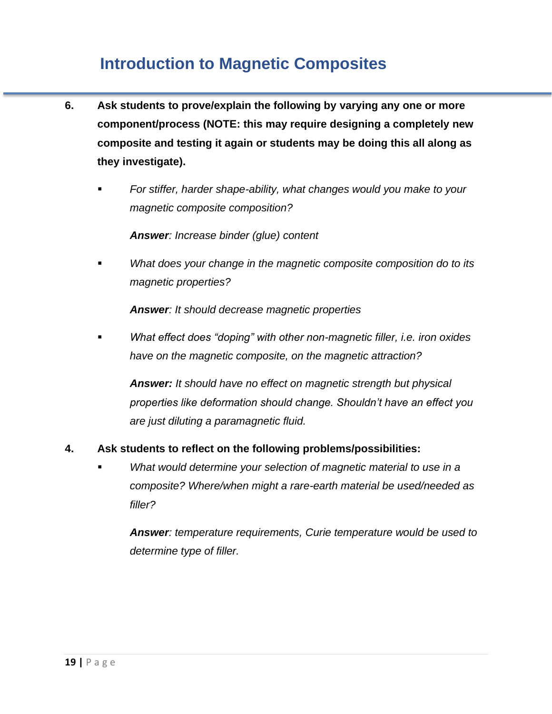- **6. Ask students to prove/explain the following by varying any one or more component/process (NOTE: this may require designing a completely new composite and testing it again or students may be doing this all along as they investigate).**
	- For stiffer, harder shape-ability, what changes would you make to your *magnetic composite composition?*

*Answer: Increase binder (glue) content*

What does your change in the magnetic composite composition do to its *magnetic properties?*

*Answer: It should decrease magnetic properties*

What effect does "doping" with other non-magnetic filler, *i.e.* iron oxides *have on the magnetic composite, on the magnetic attraction?*

*Answer: It should have no effect on magnetic strength but physical properties like deformation should change. Shouldn't have an effect you are just diluting a paramagnetic fluid.*

#### **4. Ask students to reflect on the following problems/possibilities:**

What would determine your selection of magnetic material to use in a *composite? Where/when might a rare-earth material be used/needed as filler?*

*Answer: temperature requirements, Curie temperature would be used to determine type of filler.*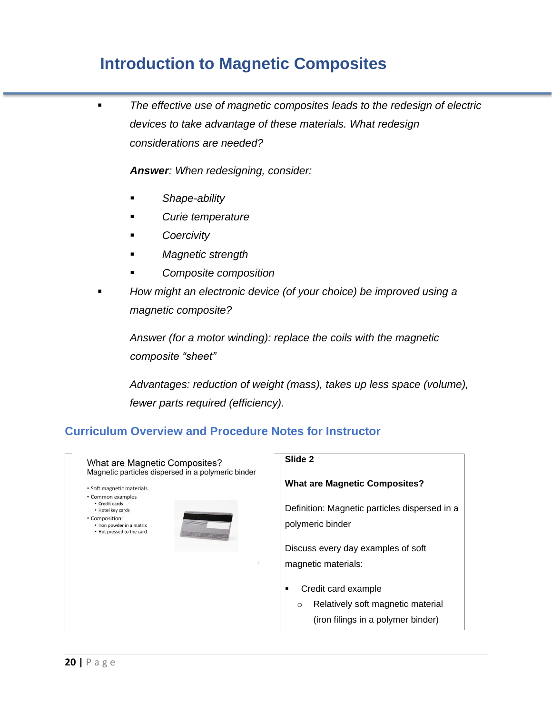▪ *The effective use of magnetic composites leads to the redesign of electric devices to take advantage of these materials. What redesign considerations are needed?*

*Answer: When redesigning, consider:*

- *Shape-ability*
- *Curie temperature*
- *Coercivity*
- *Magnetic strength*
- *Composite composition*
- How might an electronic device (of your choice) be improved using a *magnetic composite?*

*Answer (for a motor winding): replace the coils with the magnetic composite "sheet"*

*Advantages: reduction of weight (mass), takes up less space (volume), fewer parts required (efficiency).*

#### **Curriculum Overview and Procedure Notes for Instructor**

| What are Magnetic Composites?<br>Magnetic particles dispersed in a polymeric binder                             | Slide 2                                                                                                        |
|-----------------------------------------------------------------------------------------------------------------|----------------------------------------------------------------------------------------------------------------|
| • Soft magnetic materials<br>• Common examples                                                                  | <b>What are Magnetic Composites?</b>                                                                           |
| • Credit cards<br>• Hotel key cards<br>• Composition:<br>• Iron powder in a matrix<br>• Hot pressed to the card | Definition: Magnetic particles dispersed in a<br>polymeric binder                                              |
|                                                                                                                 | Discuss every day examples of soft<br>magnetic materials:                                                      |
|                                                                                                                 | Credit card example<br>п<br>Relatively soft magnetic material<br>$\circ$<br>(iron filings in a polymer binder) |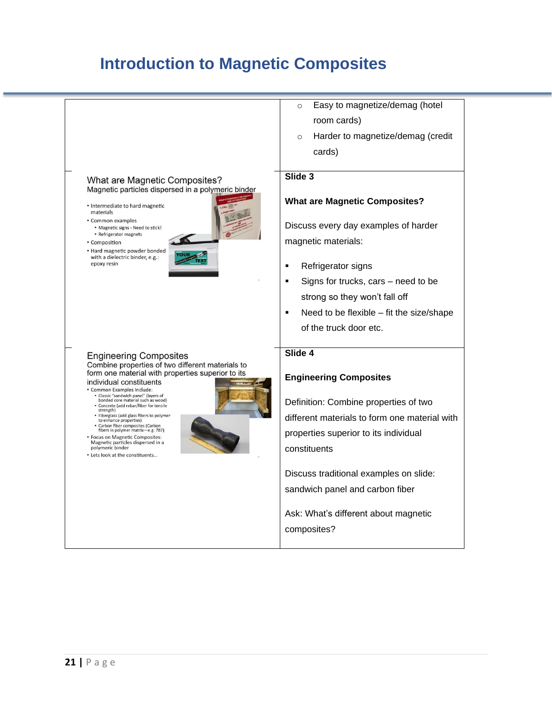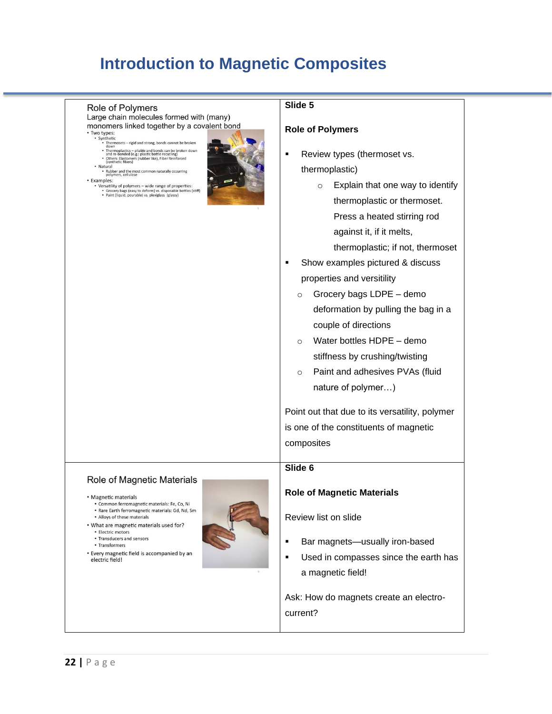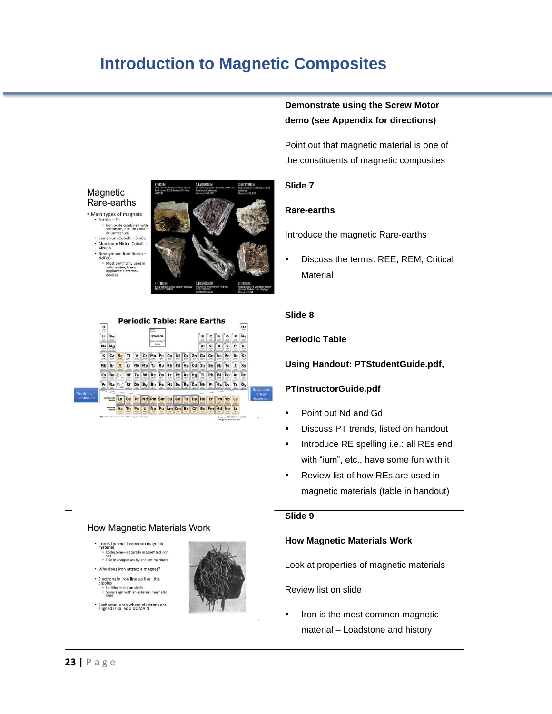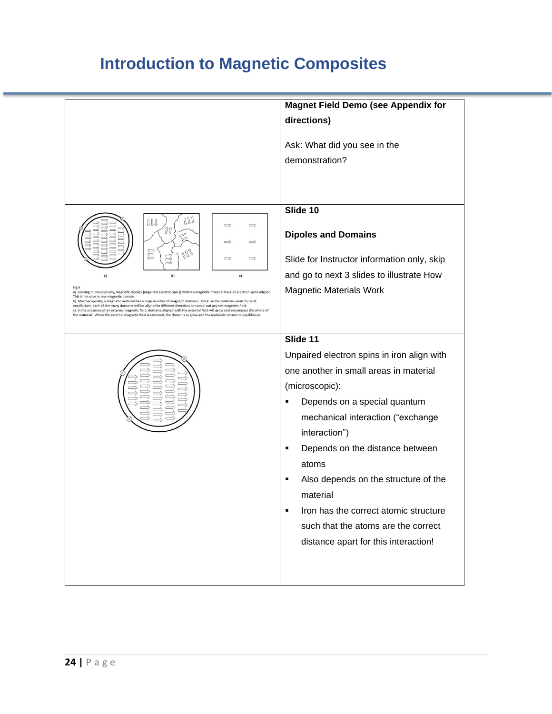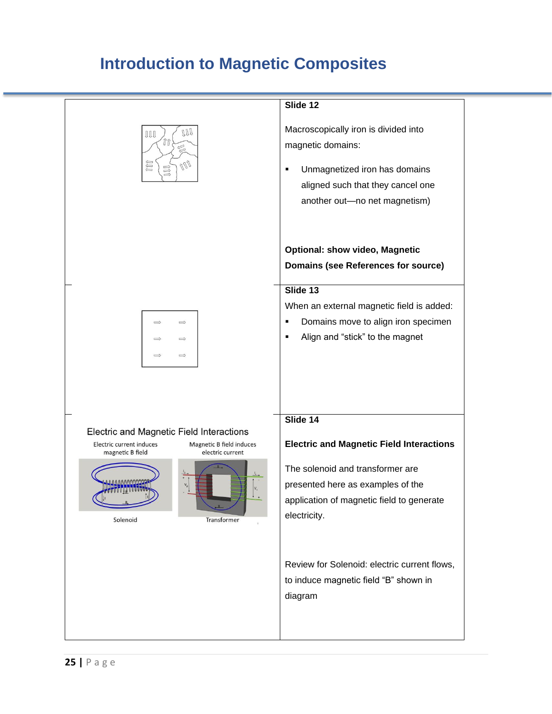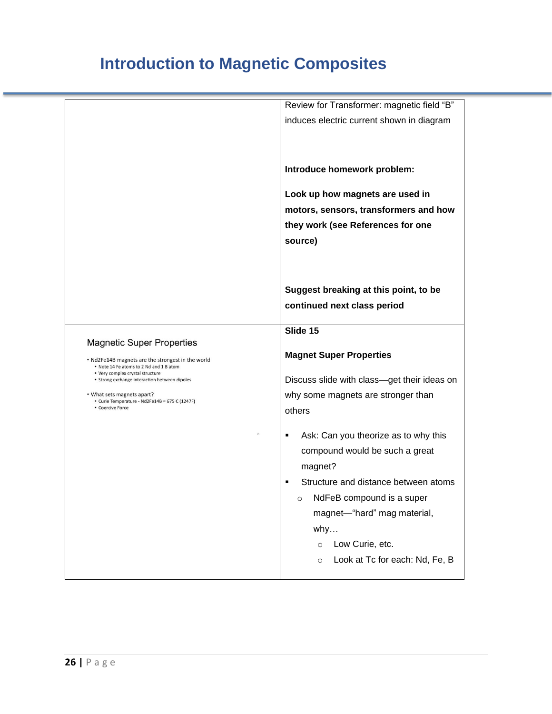|                                                                                                                                                                                                                                                                                       | Review for Transformer: magnetic field "B"<br>induces electric current shown in diagram                                                                                                                |
|---------------------------------------------------------------------------------------------------------------------------------------------------------------------------------------------------------------------------------------------------------------------------------------|--------------------------------------------------------------------------------------------------------------------------------------------------------------------------------------------------------|
|                                                                                                                                                                                                                                                                                       | Introduce homework problem:<br>Look up how magnets are used in<br>motors, sensors, transformers and how<br>they work (see References for one<br>source)                                                |
| <b>Magnetic Super Properties</b>                                                                                                                                                                                                                                                      | Suggest breaking at this point, to be<br>continued next class period<br>Slide 15                                                                                                                       |
| • Nd2Fe14B magnets are the strongest in the world<br>• Note 14 Fe atoms to 2 Nd and 1 B atom<br>• Very complex crystal structure<br>• Strong exchange interaction between dipoles<br>• What sets magnets apart?<br>• Curie Temperature - Nd2Fe14B = 675 C (1247F)<br>• Coercive Force | <b>Magnet Super Properties</b><br>Discuss slide with class-get their ideas on<br>why some magnets are stronger than<br>others                                                                          |
|                                                                                                                                                                                                                                                                                       | Ask: Can you theorize as to why this<br>٠<br>compound would be such a great<br>magnet?<br>Structure and distance between atoms<br>٠<br>NdFeB compound is a super<br>magnet-"hard" mag material,<br>why |
|                                                                                                                                                                                                                                                                                       | Low Curie, etc.<br>$\circ$<br>Look at Tc for each: Nd, Fe, B<br>$\circ$                                                                                                                                |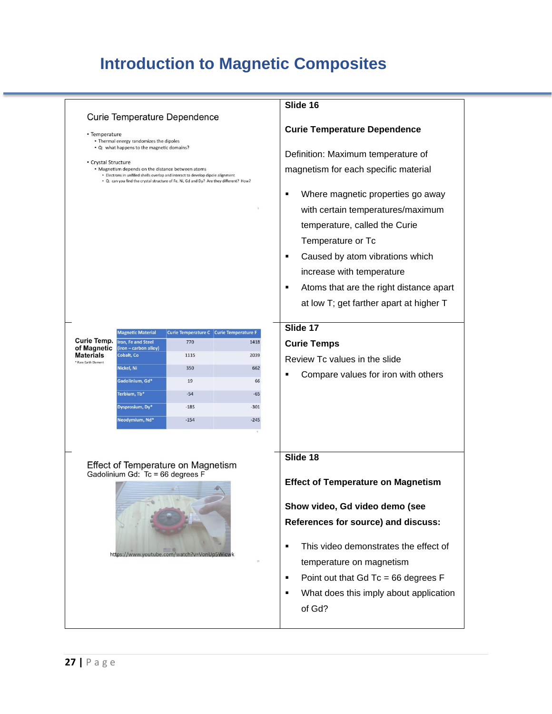|                                             |                                                                                                                                                                                                                                | Slide 16                                     |
|---------------------------------------------|--------------------------------------------------------------------------------------------------------------------------------------------------------------------------------------------------------------------------------|----------------------------------------------|
| • Temperature                               | Curie Temperature Dependence<br>• Thermal energy randomizes the dipoles                                                                                                                                                        | <b>Curie Temperature Dependence</b>          |
|                                             | . Q: what happens to the magnetic domains?                                                                                                                                                                                     | Definition: Maximum temperature of           |
| • Crystal Structure                         | • Magnetism depends on the distance between atoms<br>• Electrons in unfilled shells overlap and interact to develop dipole alignment<br>. Q: can you find the crystal structure of Fe, Ni, Gd and Dy? Are they different? How? | magnetism for each specific material         |
|                                             |                                                                                                                                                                                                                                | Where magnetic properties go away<br>٠       |
|                                             |                                                                                                                                                                                                                                | with certain temperatures/maximum            |
|                                             |                                                                                                                                                                                                                                | temperature, called the Curie                |
|                                             |                                                                                                                                                                                                                                | Temperature or Tc                            |
|                                             |                                                                                                                                                                                                                                | Caused by atom vibrations which<br>٠         |
|                                             |                                                                                                                                                                                                                                | increase with temperature                    |
|                                             |                                                                                                                                                                                                                                | Atoms that are the right distance apart<br>٠ |
|                                             |                                                                                                                                                                                                                                | at low T; get farther apart at higher T      |
|                                             |                                                                                                                                                                                                                                |                                              |
|                                             | <b>Magnetic Material</b><br>Curie Temperature C Curie Temperature F                                                                                                                                                            | Slide 17                                     |
| Curie Temp.<br>of Magnetic                  | Iron, Fe and Steel<br>770<br>1418<br>(iron - carbon alloy)                                                                                                                                                                     | <b>Curie Temps</b>                           |
| <b>Materials</b><br>* Rare Earth Element    | Cobalt, Co<br>1115<br>2039<br>Nickel, Ni<br>350<br>662                                                                                                                                                                         | Review Tc values in the slide                |
|                                             | Gadolinium, Gd*<br>19<br>66                                                                                                                                                                                                    | Compare values for iron with others          |
|                                             | Terbium, Tb*<br>$-54$<br>$-65$                                                                                                                                                                                                 |                                              |
|                                             | Dysprosium, Dy*<br>$-185$<br>$-301$                                                                                                                                                                                            |                                              |
|                                             | Neodymium, Nd*<br>$-154$<br>$-245$                                                                                                                                                                                             |                                              |
|                                             |                                                                                                                                                                                                                                |                                              |
|                                             |                                                                                                                                                                                                                                | Slide 18                                     |
|                                             | Effect of Temperature on Magnetism<br>Gadolinium Gd: Tc = 66 degrees F                                                                                                                                                         |                                              |
|                                             |                                                                                                                                                                                                                                | <b>Effect of Temperature on Magnetism</b>    |
|                                             |                                                                                                                                                                                                                                | Show video, Gd video demo (see               |
|                                             |                                                                                                                                                                                                                                | References for source) and discuss:          |
| https://www.youtube.com/watch?v=VonUp5Wicwk |                                                                                                                                                                                                                                |                                              |
|                                             |                                                                                                                                                                                                                                | This video demonstrates the effect of        |
|                                             |                                                                                                                                                                                                                                | temperature on magnetism                     |
|                                             |                                                                                                                                                                                                                                | Point out that Gd Tc = $66$ degrees F<br>٠   |
|                                             |                                                                                                                                                                                                                                | What does this imply about application<br>٠  |
|                                             |                                                                                                                                                                                                                                | of Gd?                                       |
|                                             |                                                                                                                                                                                                                                |                                              |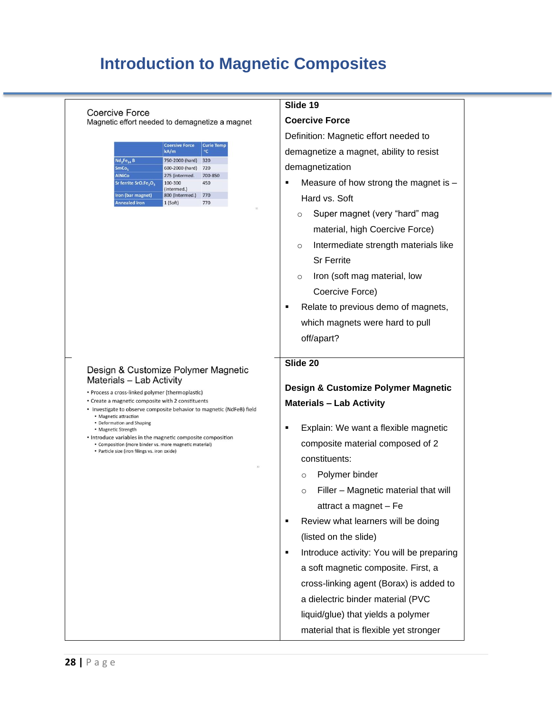| <b>Coercive Force</b>                                                                                                                                                                                                                                       | Slide 19                                                                                                            |
|-------------------------------------------------------------------------------------------------------------------------------------------------------------------------------------------------------------------------------------------------------------|---------------------------------------------------------------------------------------------------------------------|
| Magnetic effort needed to demagnetize a magnet                                                                                                                                                                                                              | <b>Coercive Force</b>                                                                                               |
|                                                                                                                                                                                                                                                             | Definition: Magnetic effort needed to                                                                               |
| <b>Coersive Force</b><br><b>Curie Temp</b><br>kA/m<br>°C                                                                                                                                                                                                    | demagnetize a magnet, ability to resist                                                                             |
| 320<br>$Nd_2Fe_{14}B$<br>750-2000 (hard)<br>720<br>SmCo <sub>s</sub><br>600-2000 (hard)                                                                                                                                                                     | demagnetization                                                                                                     |
| <b>AlNiCo</b><br>275 (intermed.<br>700-850<br>Sr ferrite SrO.Fe <sub>2</sub> O <sub>3</sub><br>100-300<br>450<br>(intermed.)                                                                                                                                | Measure of how strong the magnet is -<br>٠                                                                          |
| Iron (bar magnet)<br>800 (Intermed.)<br>770<br><b>Annealed iron</b><br>770<br>$1$ (Soft)                                                                                                                                                                    | Hard vs. Soft                                                                                                       |
|                                                                                                                                                                                                                                                             | Super magnet (very "hard" mag<br>$\circ$                                                                            |
|                                                                                                                                                                                                                                                             | material, high Coercive Force)                                                                                      |
|                                                                                                                                                                                                                                                             | Intermediate strength materials like<br>$\circ$                                                                     |
|                                                                                                                                                                                                                                                             | <b>Sr Ferrite</b>                                                                                                   |
|                                                                                                                                                                                                                                                             | Iron (soft mag material, low<br>$\circ$                                                                             |
|                                                                                                                                                                                                                                                             | Coercive Force)                                                                                                     |
|                                                                                                                                                                                                                                                             | Relate to previous demo of magnets,<br>٠                                                                            |
|                                                                                                                                                                                                                                                             | which magnets were hard to pull                                                                                     |
|                                                                                                                                                                                                                                                             | off/apart?                                                                                                          |
| • Process a cross-linked polymer (thermoplastic)<br>• Create a magnetic composite with 2 constituents<br>• Investigate to observe composite behavior to magnetic (NdFeB) field<br>• Magnetic attraction<br>• Deformation and Shaping<br>• Magnetic Strength | Design & Customize Polymer Magnetic<br><b>Materials - Lab Activity</b><br>Explain: We want a flexible magnetic<br>٠ |
| • Introduce variables in the magnetic composite composition<br>• Composition (more binder vs. more magnetic material)<br>· Particle size (iron filings vs. iron oxide)                                                                                      | composite material composed of 2                                                                                    |
|                                                                                                                                                                                                                                                             | constituents:                                                                                                       |
|                                                                                                                                                                                                                                                             | Polymer binder<br>$\circ$                                                                                           |
|                                                                                                                                                                                                                                                             | Filler - Magnetic material that will<br>$\circ$                                                                     |
|                                                                                                                                                                                                                                                             | attract a magnet - Fe                                                                                               |
|                                                                                                                                                                                                                                                             | Review what learners will be doing<br>٠                                                                             |
|                                                                                                                                                                                                                                                             | (listed on the slide)                                                                                               |
|                                                                                                                                                                                                                                                             | Introduce activity: You will be preparing<br>٠                                                                      |
|                                                                                                                                                                                                                                                             | a soft magnetic composite. First, a                                                                                 |
|                                                                                                                                                                                                                                                             | cross-linking agent (Borax) is added to                                                                             |
|                                                                                                                                                                                                                                                             | a dielectric binder material (PVC                                                                                   |
|                                                                                                                                                                                                                                                             | liquid/glue) that yields a polymer                                                                                  |
|                                                                                                                                                                                                                                                             | material that is flexible yet stronger                                                                              |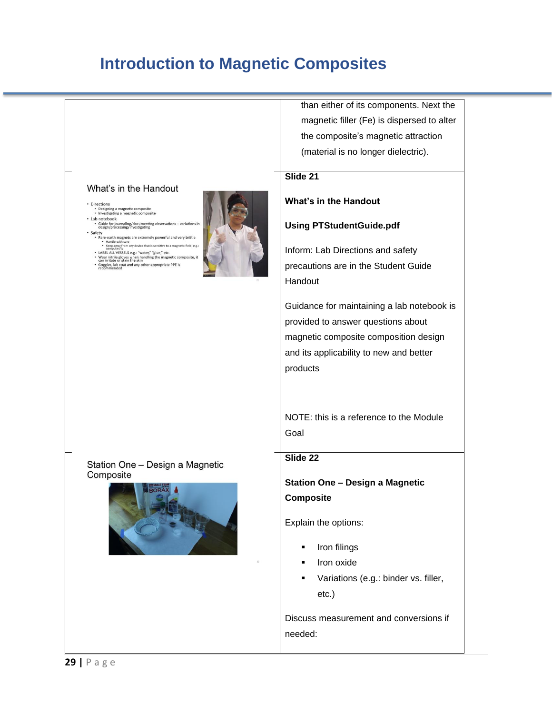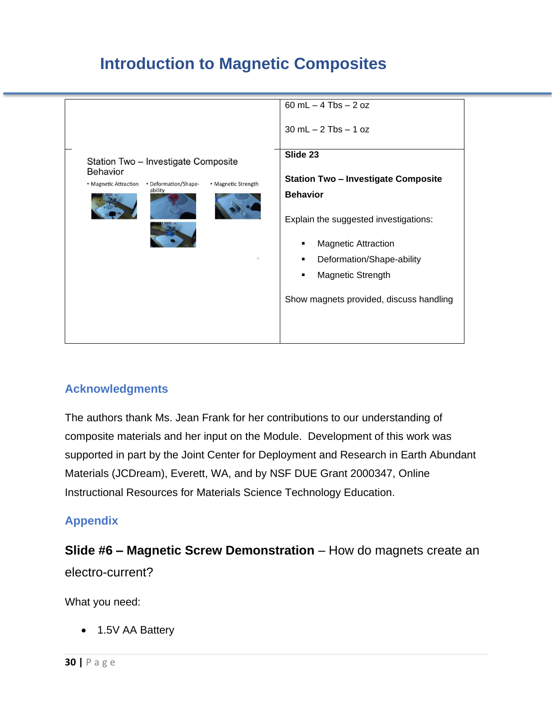

### **Acknowledgments**

The authors thank Ms. Jean Frank for her contributions to our understanding of composite materials and her input on the Module. Development of this work was supported in part by the Joint Center for Deployment and Research in Earth Abundant Materials (JCDream), Everett, WA, and by NSF DUE Grant 2000347, Online Instructional Resources for Materials Science Technology Education.

### **Appendix**

**Slide #6 – Magnetic Screw Demonstration** – How do magnets create an electro-current?

What you need:

• 1.5V AA Battery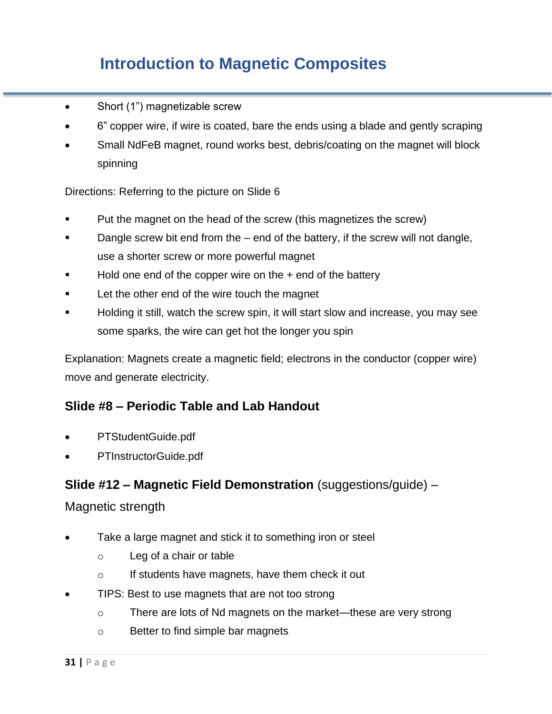- Short (1") magnetizable screw
- 6" copper wire, if wire is coated, bare the ends using a blade and gently scraping
- Small NdFeB magnet, round works best, debris/coating on the magnet will block spinning

Directions: Referring to the picture on Slide 6

- Put the magnet on the head of the screw (this magnetizes the screw)
- Dangle screw bit end from the end of the battery, if the screw will not dangle, use a shorter screw or more powerful magnet
- Hold one end of the copper wire on the  $+$  end of the battery
- Let the other end of the wire touch the magnet
- Holding it still, watch the screw spin, it will start slow and increase, you may see some sparks, the wire can get hot the longer you spin

Explanation: Magnets create a magnetic field; electrons in the conductor (copper wire) move and generate electricity.

### **Slide #8 – Periodic Table and Lab Handout**

- PTStudentGuide.pdf
- PTInstructorGuide.pdf

### **Slide #12 – Magnetic Field Demonstration** (suggestions/guide) –

#### Magnetic strength

- Take a large magnet and stick it to something iron or steel
	- o Leg of a chair or table
	- o If students have magnets, have them check it out
- TIPS: Best to use magnets that are not too strong
	- o There are lots of Nd magnets on the market—these are very strong
	- o Better to find simple bar magnets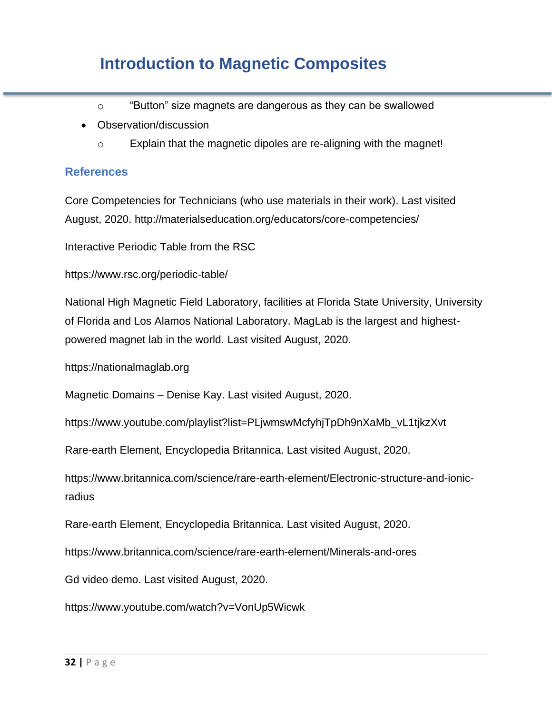- $\circ$  "Button" size magnets are dangerous as they can be swallowed
- Observation/discussion
	- o Explain that the magnetic dipoles are re-aligning with the magnet!

#### **References**

Core Competencies for Technicians (who use materials in their work). Last visited August, 2020. http://materialseducation.org/educators/core-competencies/

Interactive Periodic Table from the RSC

https://www.rsc.org/periodic-table/

National High Magnetic Field Laboratory, facilities at Florida State University, University of Florida and Los Alamos National Laboratory. MagLab is the largest and highestpowered magnet lab in the world. Last visited August, 2020.

https://nationalmaglab.org

Magnetic Domains – Denise Kay. Last visited August, 2020.

https://www.youtube.com/playlist?list=PLjwmswMcfyhjTpDh9nXaMb\_vL1tjkzXvt

Rare-earth Element, Encyclopedia Britannica. Last visited August, 2020.

https://www.britannica.com/science/rare-earth-element/Electronic-structure-and-ionicradius

Rare-earth Element, Encyclopedia Britannica. Last visited August, 2020.

https://www.britannica.com/science/rare-earth-element/Minerals-and-ores

Gd video demo. Last visited August, 2020.

https://www.youtube.com/watch?v=VonUp5Wicwk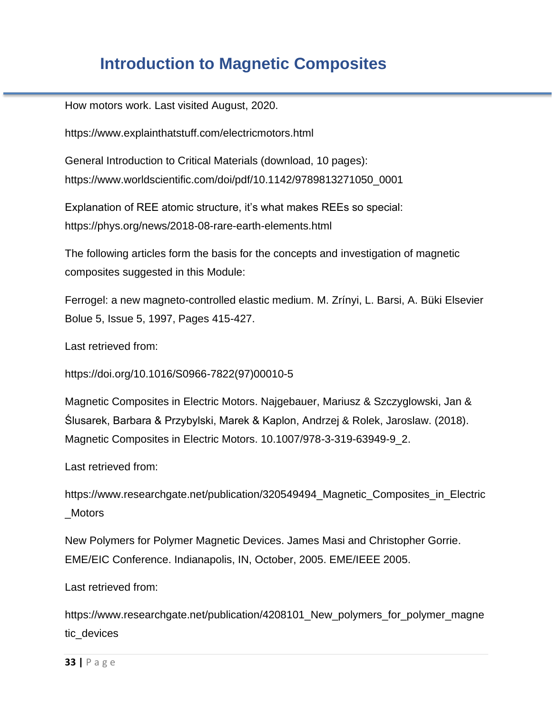How motors work. Last visited August, 2020.

https://www.explainthatstuff.com/electricmotors.html

General Introduction to Critical Materials (download, 10 pages): https://www.worldscientific.com/doi/pdf/10.1142/9789813271050\_0001

Explanation of REE atomic structure, it's what makes REEs so special: https://phys.org/news/2018-08-rare-earth-elements.html

The following articles form the basis for the concepts and investigation of magnetic composites suggested in this Module:

Ferrogel: a new magneto-controlled elastic medium. M. Zrínyi, L. Barsi, A. Büki Elsevier Bolue 5, Issue 5, 1997, Pages 415-427.

Last retrieved from:

https://doi.org/10.1016/S0966-7822(97)00010-5

Magnetic Composites in Electric Motors. Najgebauer, Mariusz & Szczyglowski, Jan & Ślusarek, Barbara & Przybylski, Marek & Kaplon, Andrzej & Rolek, Jaroslaw. (2018). Magnetic Composites in Electric Motors. 10.1007/978-3-319-63949-9\_2.

Last retrieved from:

https://www.researchgate.net/publication/320549494\_Magnetic\_Composites\_in\_Electric \_Motors

New Polymers for Polymer Magnetic Devices. James Masi and Christopher Gorrie. EME/EIC Conference. Indianapolis, IN, October, 2005. EME/IEEE 2005.

Last retrieved from:

https://www.researchgate.net/publication/4208101\_New\_polymers\_for\_polymer\_magne tic\_devices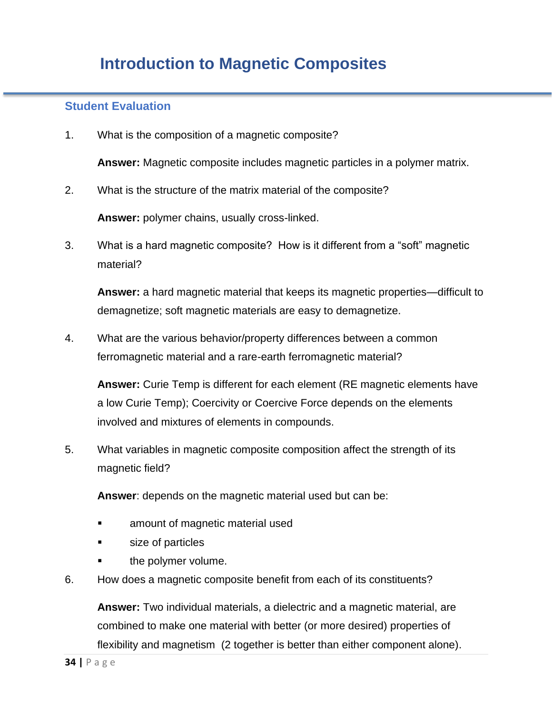#### **Student Evaluation**

1. What is the composition of a magnetic composite?

**Answer:** Magnetic composite includes magnetic particles in a polymer matrix.

2. What is the structure of the matrix material of the composite?

**Answer:** polymer chains, usually cross-linked.

3. What is a hard magnetic composite? How is it different from a "soft" magnetic material?

**Answer:** a hard magnetic material that keeps its magnetic properties—difficult to demagnetize; soft magnetic materials are easy to demagnetize.

4. What are the various behavior/property differences between a common ferromagnetic material and a rare-earth ferromagnetic material?

**Answer:** Curie Temp is different for each element (RE magnetic elements have a low Curie Temp); Coercivity or Coercive Force depends on the elements involved and mixtures of elements in compounds.

5. What variables in magnetic composite composition affect the strength of its magnetic field?

**Answer**: depends on the magnetic material used but can be:

- amount of magnetic material used
- size of particles
- the polymer volume.
- 6. How does a magnetic composite benefit from each of its constituents?

**Answer:** Two individual materials, a dielectric and a magnetic material, are combined to make one material with better (or more desired) properties of flexibility and magnetism (2 together is better than either component alone).